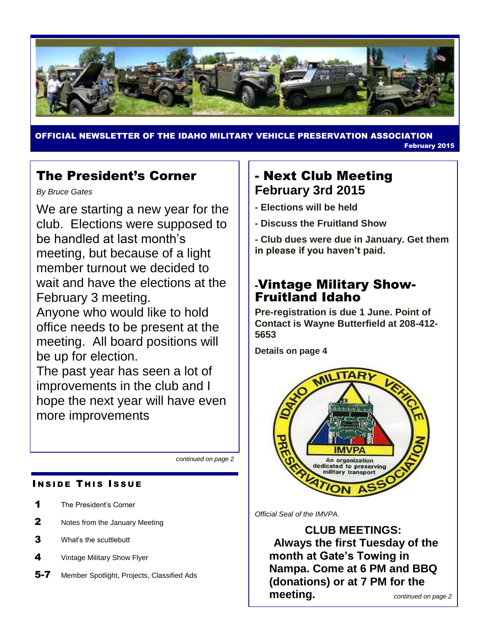

OFFICIAL NEWSLETTER OF THE IDAHO MILITARY VEHICLE PRESERVATION ASSOCIATION February 2015

# The President's Corner

*By Bruce Gates*

We are starting a new year for the club. Elections were supposed to be handled at last month's meeting, but because of a light member turnout we decided to wait and have the elections at the February 3 meeting.

Anyone who would like to hold office needs to be present at the meeting. All board positions will be up for election.

The past year has seen a lot of improvements in the club and I hope the next year will have even more improvements

*continued on page 2*

### **INSIDE THIS ISSUE**

- 1 The President's Corner
- **2** Notes from the January Meeting
- 3 What's the scuttlebutt
- 4 Vintage Military Show Flyer
- 5-7 Member Spotlight, Projects, Classified Ads

## - Next Club Meeting **February 3rd 2015**

- **- Elections will be held**
- **- Discuss the Fruitland Show**

**- Club dues were due in January. Get them in please if you haven't paid.**

# -Vintage Military Show-Fruitland Idaho

**Pre-registration is due 1 June. Point of Contact is Wayne Butterfield at 208-412- 5653**

**Details on page 4**



*Official Seal of the IMVPA.*

**CLUB MEETINGS: Always the first Tuesday of the month at Gate's Towing in Nampa. Come at 6 PM and BBQ (donations) or at 7 PM for the meeting.** *continued on page 2*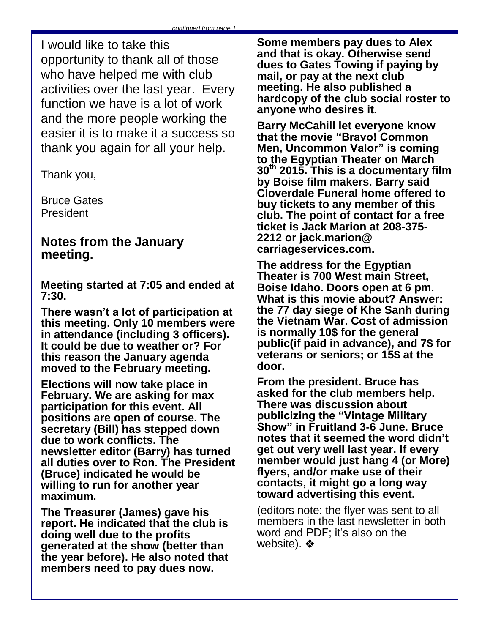I would like to take this opportunity to thank all of those who have helped me with club activities over the last year. Every function we have is a lot of work and the more people working the easier it is to make it a success so thank you again for all your help.

Thank you,

Bruce Gates President

## **Notes from the January meeting.**

**Meeting started at 7:05 and ended at 7:30.**

**There wasn't a lot of participation at this meeting. Only 10 members were in attendance (including 3 officers). It could be due to weather or? For this reason the January agenda moved to the February meeting.** 

**Elections will now take place in February. We are asking for max participation for this event. All positions are open of course. The secretary (Bill) has stepped down due to work conflicts. The newsletter editor (Barry) has turned all duties over to Ron. The President (Bruce) indicated he would be willing to run for another year maximum.** 

**The Treasurer (James) gave his report. He indicated that the club is doing well due to the profits generated at the show (better than the year before). He also noted that members need to pay dues now.** 

**Some members pay dues to Alex and that is okay. Otherwise send dues to Gates Towing if paying by mail, or pay at the next club meeting. He also published a hardcopy of the club social roster to anyone who desires it.**

**Barry McCahill let everyone know that the movie "Bravo! Common Men, Uncommon Valor" is coming to the Egyptian Theater on March 30th 2015. This is a documentary film by Boise film makers. Barry said Cloverdale Funeral home offered to buy tickets to any member of this club. The point of contact for a free ticket is Jack Marion at 208-375- 2212 or jack.marion@ carriageservices.com.** 

**The address for the Egyptian Theater is 700 West main Street, Boise Idaho. Doors open at 6 pm. What is this movie about? Answer: the 77 day siege of Khe Sanh during the Vietnam War. Cost of admission is normally 10\$ for the general public(if paid in advance), and 7\$ for veterans or seniors; or 15\$ at the door.**

**From the president. Bruce has asked for the club members help. There was discussion about publicizing the "Vintage Military Show" in Fruitland 3-6 June. Bruce notes that it seemed the word didn't get out very well last year. If every member would just hang 4 (or More) flyers, and/or make use of their contacts, it might go a long way toward advertising this event.** 

(editors note: the flyer was sent to all members in the last newsletter in both word and PDF; it's also on the website).  $\clubsuit$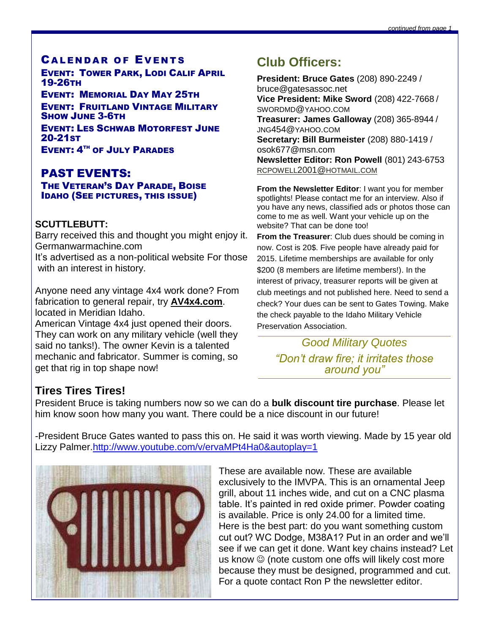## **CALENDAR OF EVENTS**

EVENT: TOWER PARK, LODI CALIF APRIL 19-26TH

EVENT: MEMORIAL DAY MAY 25TH EVENT: FRUITLAND VINTAGE MILITARY SHOW JUNE 3-6TH EVENT: LES SCHWAB MOTORFEST JUNE 20-21ST EVENT: 4<sup>TH</sup> OF JULY PARADES

## PAST EVENTS:

#### THE VETERAN'S DAY PARADE, BOISE IDAHO (SEE PICTURES, THIS ISSUE)

### **SCUTTLEBUTT:**

Barry received this and thought you might enjoy it. Germanwarmachine.com

It's advertised as a non-political website For those with an interest in history.

Anyone need any vintage 4x4 work done? From fabrication to general repair, try **AV4x4.com**. located in Meridian Idaho.

American Vintage 4x4 just opened their doors. They can work on any military vehicle (well they said no tanks!). The owner Kevin is a talented mechanic and fabricator. Summer is coming, so get that rig in top shape now!

# **Club Officers:**

**President: Bruce Gates** (208) 890-2249 / bruce@gatesassoc.net **Vice President: Mike Sword** (208) 422-7668 / SWORDMD@YAHOO.COM **Treasurer: James Galloway** (208) 365-8944 / JNG454@YAHOO.COM **Secretary: Bill Burmeister** (208) 880-1419 / osok677@msn.com **Newsletter Editor: Ron Powell** (801) 243-6753 [RCPOWELL](mailto:rcpowell2001@hotmail.com)2001@HOTMAIL.COM

**From the Newsletter Editor**: I want you for member spotlights! Please contact me for an interview. Also if you have any news, classified ads or photos those can come to me as well. Want your vehicle up on the website? That can be done too!

**From the Treasurer**: Club dues should be coming in now. Cost is 20\$. Five people have already paid for 2015. Lifetime memberships are available for only \$200 (8 members are lifetime members!). In the interest of privacy, treasurer reports will be given at club meetings and not published here. Need to send a check? Your dues can be sent to Gates Towing. Make the check payable to the Idaho Military Vehicle Preservation Association.

> *Good Military Quotes "Don't draw fire; it irritates those around you"*

## **Tires Tires Tires!**

President Bruce is taking numbers now so we can do a **bulk discount tire purchase**. Please let him know soon how many you want. There could be a nice discount in our future!

-President Bruce Gates wanted to pass this on. He said it was worth viewing. Made by 15 year old Lizzy Palmer[.http://www.youtube.com/v/ervaMPt4Ha0&autoplay=1](http://www.youtube.com/v/ervaMPt4Ha0&autoplay=1)



These are available now. These are available exclusively to the IMVPA. This is an ornamental Jeep grill, about 11 inches wide, and cut on a CNC plasma table. It's painted in red oxide primer. Powder coating is available. Price is only 24.00 for a limited time. Here is the best part: do you want something custom cut out? WC Dodge, M38A1? Put in an order and we'll see if we can get it done. Want key chains instead? Let us know  $\odot$  (note custom one offs will likely cost more because they must be designed, programmed and cut. For a quote contact Ron P the newsletter editor.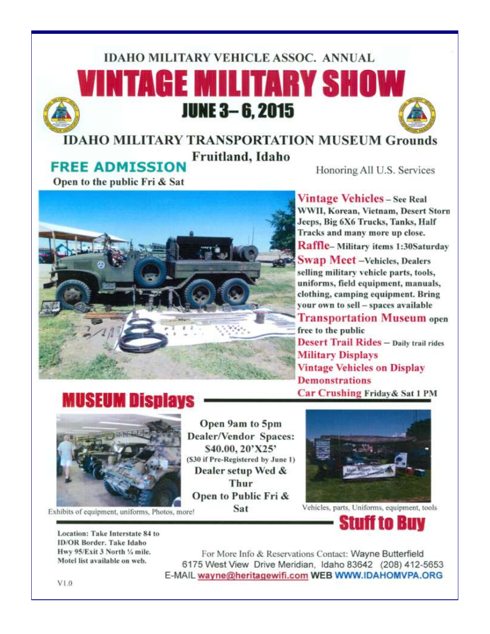# **IDAHO MILITARY VEHICLE ASSOC. ANNUAL** VINTAGE MILITARY SHOW **JUNE 3-6, 2015**

# **IDAHO MILITARY TRANSPORTATION MUSEUM Grounds** Fruitland, Idaho

**FREE ADMISSION** 

Honoring All U.S. Services

Open to the public Fri & Sat



**Vintage Vehicles - See Real** WWII, Korean, Vietnam, Desert Storn Jeeps, Big 6X6 Trucks, Tanks, Half Tracks and many more up close. Raffle-Military items 1:30Saturday **Swap Meet** - Vehicles, Dealers selling military vehicle parts, tools, uniforms, field equipment, manuals, clothing, camping equipment. Bring vour own to sell - spaces available **Transportation Museum open** free to the public **Desert Trail Rides - Daily trail rides Military Displays Vintage Vehicles on Display Demonstrations** Car Crushing Friday & Sat 1 PM





Open 9am to 5pm **Dealer/Vendor Spaces:** \$40.00, 20'X25' (\$30 if Pre-Registered by June 1) Dealer setup Wed & Thur Open to Public Fri & Sat





Vehicles, parts, Uniforms, equipment, tools



Location: Take Interstate 84 to **ID/OR Border. Take Idaho** Hwy 95/Exit 3 North 1/4 mile. Motel list available on web.

For More Info & Reservations Contact: Wayne Butterfield 6175 West View Drive Meridian, Idaho 83642 (208) 412-5653 E-MAIL wayne@heritagewifi.com WEB WWW.IDAHOMVPA.ORG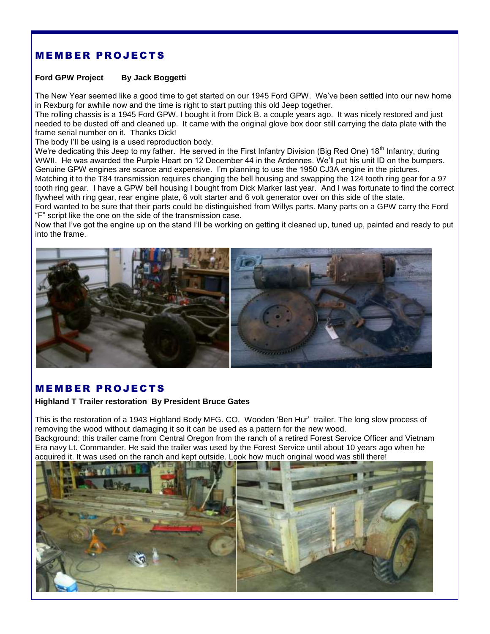## **MEMBER PROJECTS**

#### **Ford GPW Project By Jack Boggetti**

The New Year seemed like a good time to get started on our 1945 Ford GPW. We've been settled into our new home in Rexburg for awhile now and the time is right to start putting this old Jeep together.

The rolling chassis is a 1945 Ford GPW. I bought it from Dick B. a couple years ago. It was nicely restored and just needed to be dusted off and cleaned up. It came with the original glove box door still carrying the data plate with the frame serial number on it. Thanks Dick!

The body I'll be using is a used reproduction body.

We're dedicating this Jeep to my father. He served in the First Infantry Division (Big Red One) 18<sup>th</sup> Infantry, during WWII. He was awarded the Purple Heart on 12 December 44 in the Ardennes. We'll put his unit ID on the bumpers. Genuine GPW engines are scarce and expensive. I'm planning to use the 1950 CJ3A engine in the pictures.

Matching it to the T84 transmission requires changing the bell housing and swapping the 124 tooth ring gear for a 97 tooth ring gear. I have a GPW bell housing I bought from Dick Marker last year. And I was fortunate to find the correct flywheel with ring gear, rear engine plate, 6 volt starter and 6 volt generator over on this side of the state.

Ford wanted to be sure that their parts could be distinguished from Willys parts. Many parts on a GPW carry the Ford "F" script like the one on the side of the transmission case.

Now that I've got the engine up on the stand I'll be working on getting it cleaned up, tuned up, painted and ready to put into the frame.



### **MEMBER PROJECTS**

#### **Highland T Trailer restoration By President Bruce Gates**

This is the restoration of a 1943 Highland Body MFG. CO. Wooden 'Ben Hur' trailer. The long slow process of removing the wood without damaging it so it can be used as a pattern for the new wood. Background: this trailer came from Central Oregon from the ranch of a retired Forest Service Officer and Vietnam

Era navy Lt. Commander. He said the trailer was used by the Forest Service until about 10 years ago when he acquired it. It was used on the ranch and kept outside. Look how much original wood was still there!

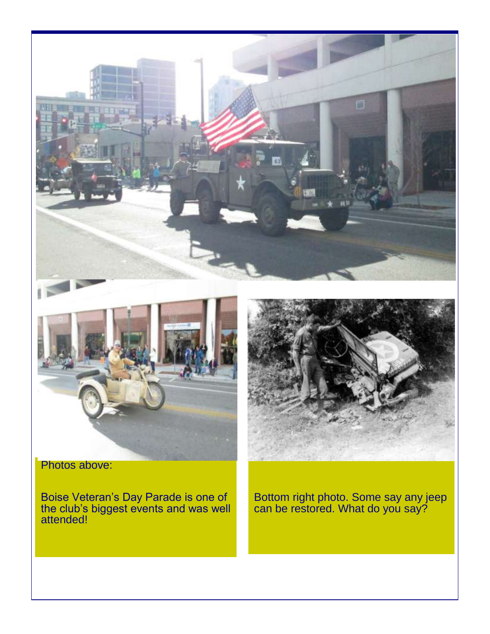



Photos above:

Boise Veteran's Day Parade is one of the club's biggest events and was well attended!



Bottom right photo. Some say any jeep can be restored. What do you say?